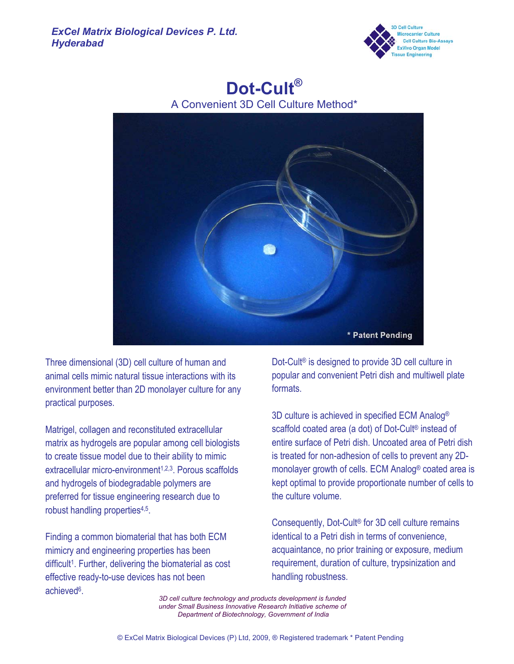

# **Dot-Cult®**

A Convenient 3D Cell Culture Method\*



Three dimensional (3D) cell culture of human and animal cells mimic natural tissue interactions with its environment better than 2D monolayer culture for any practical purposes.

Matrigel, collagen and reconstituted extracellular matrix as hydrogels are popular among cell biologists to create tissue model due to their ability to mimic extracellular micro-environment<sup>1,2,3</sup>. Porous scaffolds and hydrogels of biodegradable polymers are preferred for tissue engineering research due to robust handling properties<sup>4,5</sup>.

Finding a common biomaterial that has both ECM mimicry and engineering properties has been difficult<sup>1</sup>. Further, delivering the biomaterial as cost effective ready-to-use devices has not been achieved6.

Dot-Cult® is designed to provide 3D cell culture in popular and convenient Petri dish and multiwell plate formats.

3D culture is achieved in specified ECM Analog® scaffold coated area (a dot) of Dot-Cult® instead of entire surface of Petri dish. Uncoated area of Petri dish is treated for non-adhesion of cells to prevent any 2Dmonolayer growth of cells. ECM Analog® coated area is kept optimal to provide proportionate number of cells to the culture volume.

Consequently, Dot-Cult® for 3D cell culture remains identical to a Petri dish in terms of convenience, acquaintance, no prior training or exposure, medium requirement, duration of culture, trypsinization and handling robustness.

*3D cell culture technology and products development is funded under Small Business Innovative Research Initiative scheme of Department of Biotechnology, Government of India*